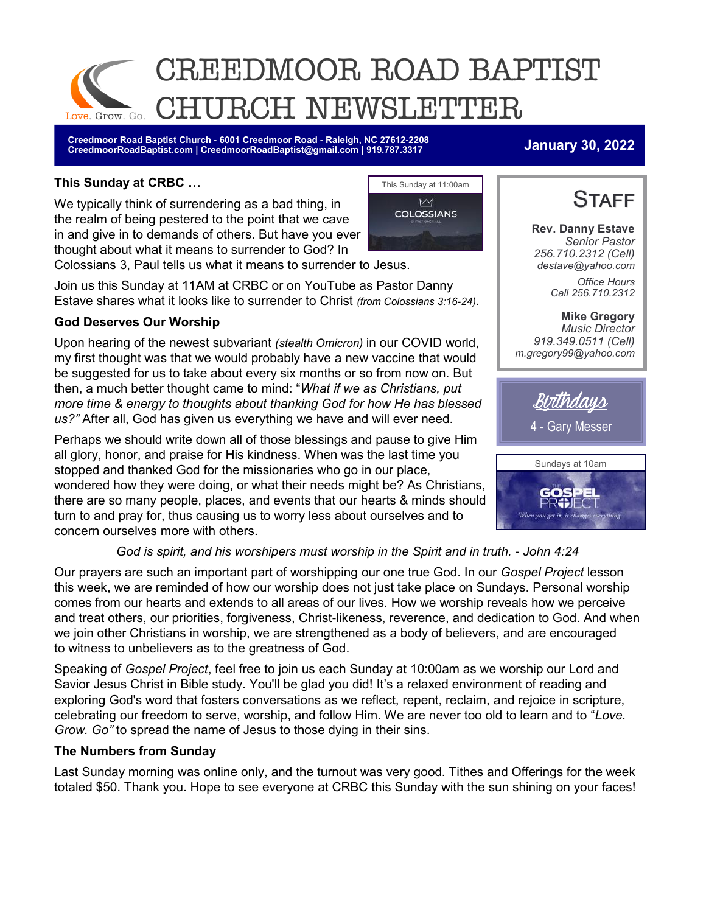

**Creedmoor Road Baptist Church - 6001 Creedmoor Road - Raleigh, NC 27612-2208 CreedmoorRoadBaptist.com | CreedmoorRoadBaptist@gmail.com | 919.787.3317 January 30, 2022**

### **This Sunday at CRBC …**

We typically think of surrendering as a bad thing, in the realm of being pestered to the point that we cave in and give in to demands of others. But have you ever thought about what it means to surrender to God? In



Colossians 3, Paul tells us what it means to surrender to Jesus.

Join us this Sunday at 11AM at CRBC or on YouTube as Pastor Danny Estave shares what it looks like to surrender to Christ *(from Colossians 3:16-24).*

### **God Deserves Our Worship**

Upon hearing of the newest subvariant *(stealth Omicron)* in our COVID world, my first thought was that we would probably have a new vaccine that would be suggested for us to take about every six months or so from now on. But then, a much better thought came to mind: "*What if we as Christians, put more time & energy to thoughts about thanking God for how He has blessed us?"* After all, God has given us everything we have and will ever need.

Perhaps we should write down all of those blessings and pause to give Him all glory, honor, and praise for His kindness. When was the last time you stopped and thanked God for the missionaries who go in our place, wondered how they were doing, or what their needs might be? As Christians, there are so many people, places, and events that our hearts & minds should turn to and pray for, thus causing us to worry less about ourselves and to concern ourselves more with others.

### *God is spirit, and his worshipers must worship in the Spirit and in truth. - John 4:24*

Our prayers are such an important part of worshipping our one true God. In our *Gospel Project* lesson this week, we are reminded of how our worship does not just take place on Sundays. Personal worship comes from our hearts and extends to all areas of our lives. How we worship reveals how we perceive and treat others, our priorities, forgiveness, Christ-likeness, reverence, and dedication to God. And when we join other Christians in worship, we are strengthened as a body of believers, and are encouraged to witness to unbelievers as to the greatness of God.

Speaking of *Gospel Project*, feel free to join us each Sunday at 10:00am as we worship our Lord and Savior Jesus Christ in Bible study. You'll be glad you did! It's a relaxed environment of reading and exploring God's word that fosters conversations as we reflect, repent, reclaim, and rejoice in scripture, celebrating our freedom to serve, worship, and follow Him. We are never too old to learn and to "*Love. Grow. Go"* to spread the name of Jesus to those dying in their sins.

#### **The Numbers from Sunday**

Last Sunday morning was online only, and the turnout was very good. Tithes and Offerings for the week totaled \$50. Thank you. Hope to see everyone at CRBC this Sunday with the sun shining on your faces!



**Rev. Danny Estave** *Senior Pastor 256.710.2312 (Cell) destave@yahoo.com Office Hours Call 256.710.2312* 

**Mike Gregory** *Music Director 919.349.0511 (Cell) m.gregory99@yahoo.com*